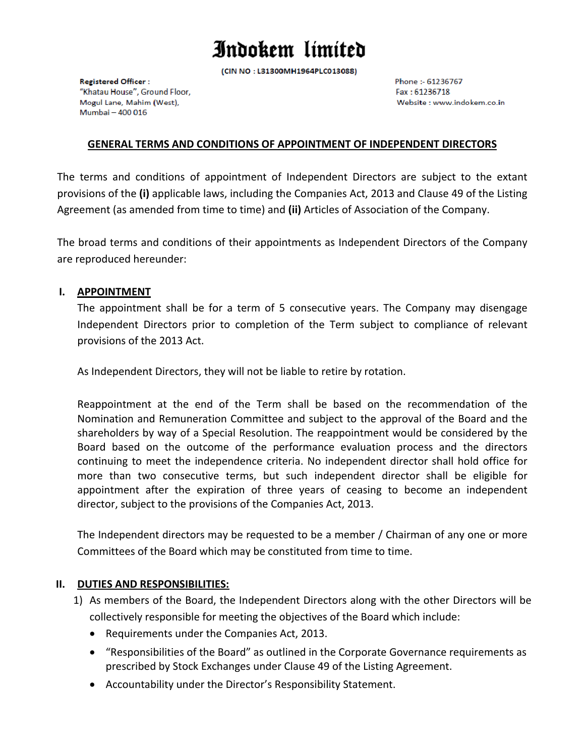(CIN NO: L31300MH1964PLC013088)

**Registered Officer:** "Khatau House", Ground Floor, Mogul Lane, Mahim (West), Mumbai - 400 016

Phone: - 61236767 Fax: 61236718 Website : www.indokem.co.in

#### **GENERAL TERMS AND CONDITIONS OF APPOINTMENT OF INDEPENDENT DIRECTORS**

The terms and conditions of appointment of Independent Directors are subject to the extant provisions of the **(i)** applicable laws, including the Companies Act, 2013 and Clause 49 of the Listing Agreement (as amended from time to time) and **(ii)** Articles of Association of the Company.

The broad terms and conditions of their appointments as Independent Directors of the Company are reproduced hereunder:

#### **I. APPOINTMENT**

The appointment shall be for a term of 5 consecutive years. The Company may disengage Independent Directors prior to completion of the Term subject to compliance of relevant provisions of the 2013 Act.

As Independent Directors, they will not be liable to retire by rotation.

Reappointment at the end of the Term shall be based on the recommendation of the Nomination and Remuneration Committee and subject to the approval of the Board and the shareholders by way of a Special Resolution. The reappointment would be considered by the Board based on the outcome of the performance evaluation process and the directors continuing to meet the independence criteria. No independent director shall hold office for more than two consecutive terms, but such independent director shall be eligible for appointment after the expiration of three years of ceasing to become an independent director, subject to the provisions of the Companies Act, 2013.

The Independent directors may be requested to be a member / Chairman of any one or more Committees of the Board which may be constituted from time to time.

#### **II. DUTIES AND RESPONSIBILITIES:**

- 1) As members of the Board, the Independent Directors along with the other Directors will be collectively responsible for meeting the objectives of the Board which include:
	- Requirements under the Companies Act, 2013.
	- "Responsibilities of the Board" as outlined in the Corporate Governance requirements as prescribed by Stock Exchanges under Clause 49 of the Listing Agreement.
	- Accountability under the Director's Responsibility Statement.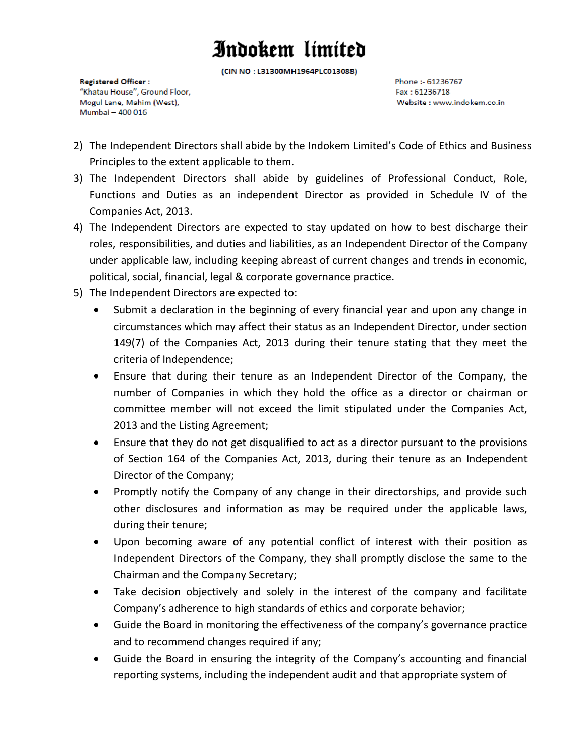(CIN NO: L31300MH1964PLC013088)

**Registered Officer:** "Khatau House", Ground Floor, Mogul Lane, Mahim (West), Mumbai - 400 016

Phone: - 61236767 Fax: 61236718 Website : www.indokem.co.in

- 2) The Independent Directors shall abide by the Indokem Limited's Code of Ethics and Business Principles to the extent applicable to them.
- 3) The Independent Directors shall abide by guidelines of Professional Conduct, Role, Functions and Duties as an independent Director as provided in Schedule IV of the Companies Act, 2013.
- 4) The Independent Directors are expected to stay updated on how to best discharge their roles, responsibilities, and duties and liabilities, as an Independent Director of the Company under applicable law, including keeping abreast of current changes and trends in economic, political, social, financial, legal & corporate governance practice.
- 5) The Independent Directors are expected to:
	- Submit a declaration in the beginning of every financial year and upon any change in circumstances which may affect their status as an Independent Director, under section 149(7) of the Companies Act, 2013 during their tenure stating that they meet the criteria of Independence;
	- Ensure that during their tenure as an Independent Director of the Company, the number of Companies in which they hold the office as a director or chairman or committee member will not exceed the limit stipulated under the Companies Act, 2013 and the Listing Agreement;
	- Ensure that they do not get disqualified to act as a director pursuant to the provisions of Section 164 of the Companies Act, 2013, during their tenure as an Independent Director of the Company;
	- Promptly notify the Company of any change in their directorships, and provide such other disclosures and information as may be required under the applicable laws, during their tenure;
	- Upon becoming aware of any potential conflict of interest with their position as Independent Directors of the Company, they shall promptly disclose the same to the Chairman and the Company Secretary;
	- Take decision objectively and solely in the interest of the company and facilitate Company's adherence to high standards of ethics and corporate behavior;
	- Guide the Board in monitoring the effectiveness of the company's governance practice and to recommend changes required if any;
	- Guide the Board in ensuring the integrity of the Company's accounting and financial reporting systems, including the independent audit and that appropriate system of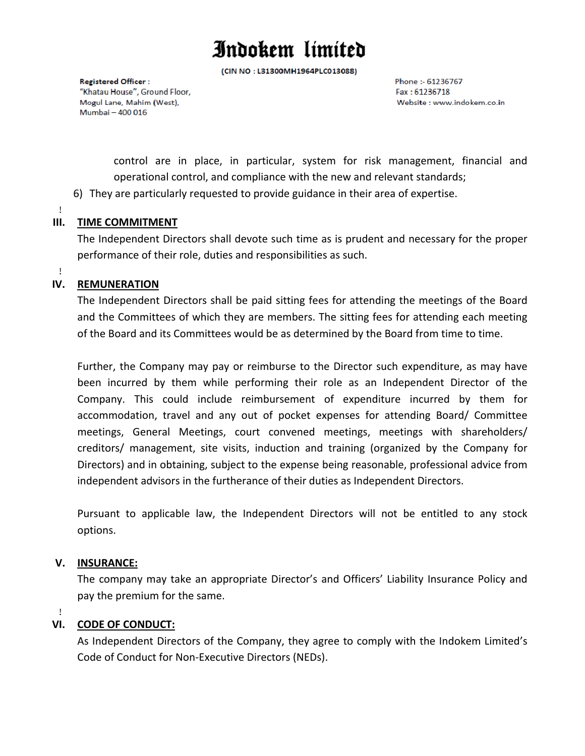(CIN NO: L31300MH1964PLC013088)

**Registered Officer:** "Khatau House", Ground Floor, Mogul Lane, Mahim (West), Mumbai - 400 016

Phone: - 61236767 Fax: 61236718 Website : www.indokem.co.in

control are in place, in particular, system for risk management, financial and operational control, and compliance with the new and relevant standards;

- 6) They are particularly requested to provide guidance in their area of expertise.
- !

### **III. TIME COMMITMENT**

The Independent Directors shall devote such time as is prudent and necessary for the proper performance of their role, duties and responsibilities as such.

#### !

#### **IV. REMUNERATION**

The Independent Directors shall be paid sitting fees for attending the meetings of the Board and the Committees of which they are members. The sitting fees for attending each meeting of the Board and its Committees would be as determined by the Board from time to time.

Further, the Company may pay or reimburse to the Director such expenditure, as may have been incurred by them while performing their role as an Independent Director of the Company. This could include reimbursement of expenditure incurred by them for accommodation, travel and any out of pocket expenses for attending Board/ Committee meetings, General Meetings, court convened meetings, meetings with shareholders/ creditors/ management, site visits, induction and training (organized by the Company for Directors) and in obtaining, subject to the expense being reasonable, professional advice from independent advisors in the furtherance of their duties as Independent Directors.

Pursuant to applicable law, the Independent Directors will not be entitled to any stock options.

#### **V. INSURANCE:**

!

The company may take an appropriate Director's and Officers' Liability Insurance Policy and pay the premium for the same.

### **VI. CODE OF CONDUCT:**

As Independent Directors of the Company, they agree to comply with the Indokem Limited's Code of Conduct for Non‐Executive Directors (NEDs).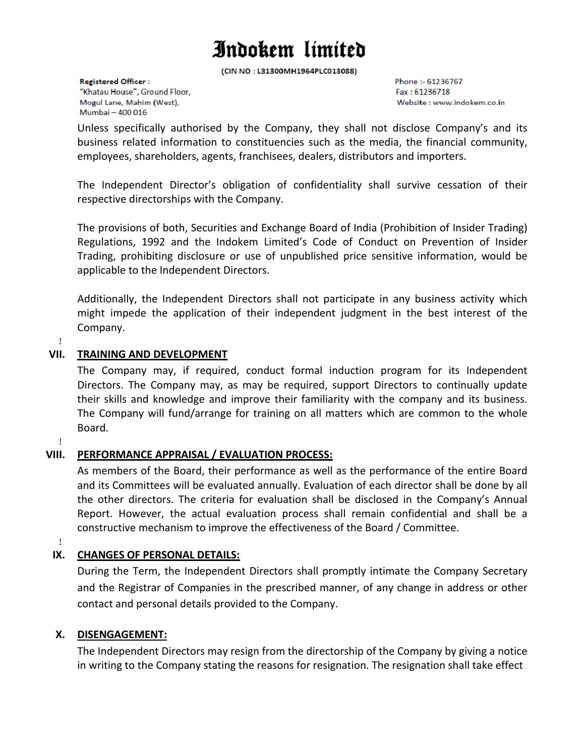(CIN NO: L31300MH1964PLC013088)

**Registered Officer:** "Khatau House", Ground Floor, Mogul Lane, Mahim (West), Mumbai - 400 016

Phone: - 61236767 Fax: 61236718 Website : www.indokem.co.in

Unless specifically authorised by the Company, they shall not disclose Company's and its business related information to constituencies such as the media, the financial community, employees, shareholders, agents, franchisees, dealers, distributors and importers.

The Independent Director's obligation of confidentiality shall survive cessation of their respective directorships with the Company.

The provisions of both, Securities and Exchange Board of India (Prohibition of Insider Trading) Regulations, 1992 and the Indokem Limited's Code of Conduct on Prevention of Insider Trading, prohibiting disclosure or use of unpublished price sensitive information, would be applicable to the Independent Directors.

Additionally, the Independent Directors shall not participate in any business activity which might impede the application of their independent judgment in the best interest of the Company.

#### ! **VII. TRAINING AND DEVELOPMENT**

The Company may, if required, conduct formal induction program for its Independent Directors. The Company may, as may be required, support Directors to continually update their skills and knowledge and improve their familiarity with the company and its business. The Company will fund/arrange for training on all matters which are common to the whole Board.

!

### **VIII. PERFORMANCE APPRAISAL / EVALUATION PROCESS:**

As members of the Board, their performance as well as the performance of the entire Board and its Committees will be evaluated annually. Evaluation of each director shall be done by all the other directors. The criteria for evaluation shall be disclosed in the Company's Annual Report. However, the actual evaluation process shall remain confidential and shall be a constructive mechanism to improve the effectiveness of the Board / Committee.

!

### **IX. CHANGES OF PERSONAL DETAILS:**

During the Term, the Independent Directors shall promptly intimate the Company Secretary and the Registrar of Companies in the prescribed manner, of any change in address or other contact and personal details provided to the Company.

### **X. DISENGAGEMENT:**

The Independent Directors may resign from the directorship of the Company by giving a notice in writing to the Company stating the reasons for resignation. The resignation shall take effect